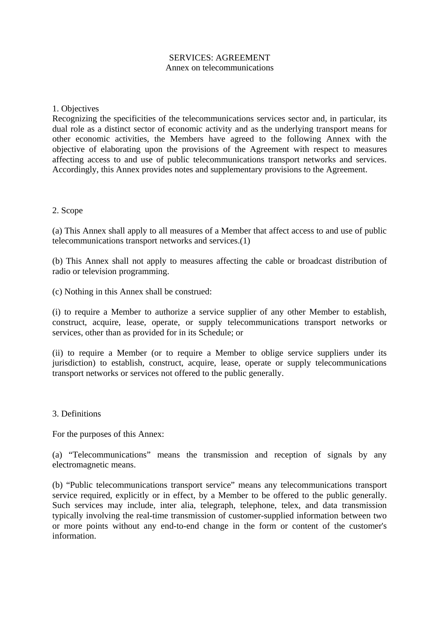### SERVICES: AGREEMENT Annex on telecommunications

#### 1. Objectives

Recognizing the specificities of the telecommunications services sector and, in particular, its dual role as a distinct sector of economic activity and as the underlying transport means for other economic activities, the Members have agreed to the following Annex with the objective of elaborating upon the provisions of the Agreement with respect to measures affecting access to and use of public telecommunications transport networks and services. Accordingly, this Annex provides notes and supplementary provisions to the Agreement.

### 2. Scope

(a) This Annex shall apply to all measures of a Member that affect access to and use of public telecommunications transport networks and services.(1)

(b) This Annex shall not apply to measures affecting the cable or broadcast distribution of radio or television programming.

(c) Nothing in this Annex shall be construed:

(i) to require a Member to authorize a service supplier of any other Member to establish, construct, acquire, lease, operate, or supply telecommunications transport networks or services, other than as provided for in its Schedule; or

(ii) to require a Member (or to require a Member to oblige service suppliers under its jurisdiction) to establish, construct, acquire, lease, operate or supply telecommunications transport networks or services not offered to the public generally.

#### 3. Definitions

For the purposes of this Annex:

(a) "Telecommunications" means the transmission and reception of signals by any electromagnetic means.

(b) "Public telecommunications transport service" means any telecommunications transport service required, explicitly or in effect, by a Member to be offered to the public generally. Such services may include, inter alia, telegraph, telephone, telex, and data transmission typically involving the real-time transmission of customer-supplied information between two or more points without any end-to-end change in the form or content of the customer's information.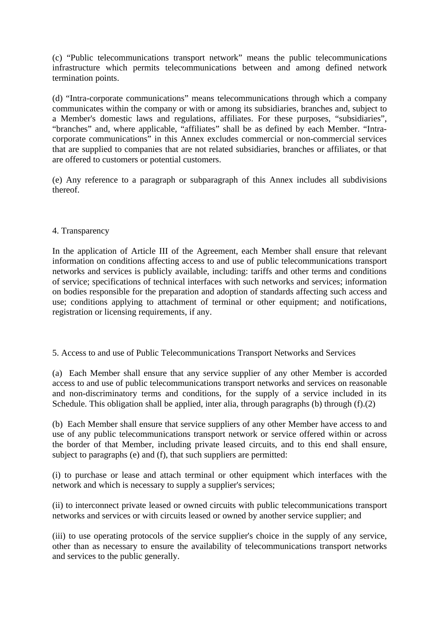(c) "Public telecommunications transport network" means the public telecommunications infrastructure which permits telecommunications between and among defined network termination points.

(d) "Intra-corporate communications" means telecommunications through which a company communicates within the company or with or among its subsidiaries, branches and, subject to a Member's domestic laws and regulations, affiliates. For these purposes, "subsidiaries", "branches" and, where applicable, "affiliates" shall be as defined by each Member. "Intracorporate communications" in this Annex excludes commercial or non-commercial services that are supplied to companies that are not related subsidiaries, branches or affiliates, or that are offered to customers or potential customers.

(e) Any reference to a paragraph or subparagraph of this Annex includes all subdivisions thereof.

# 4. Transparency

In the application of Article III of the Agreement, each Member shall ensure that relevant information on conditions affecting access to and use of public telecommunications transport networks and services is publicly available, including: tariffs and other terms and conditions of service; specifications of technical interfaces with such networks and services; information on bodies responsible for the preparation and adoption of standards affecting such access and use; conditions applying to attachment of terminal or other equipment; and notifications, registration or licensing requirements, if any.

# 5. Access to and use of Public Telecommunications Transport Networks and Services

(a) Each Member shall ensure that any service supplier of any other Member is accorded access to and use of public telecommunications transport networks and services on reasonable and non-discriminatory terms and conditions, for the supply of a service included in its Schedule. This obligation shall be applied, inter alia, through paragraphs (b) through (f).(2)

(b) Each Member shall ensure that service suppliers of any other Member have access to and use of any public telecommunications transport network or service offered within or across the border of that Member, including private leased circuits, and to this end shall ensure, subject to paragraphs (e) and (f), that such suppliers are permitted:

(i) to purchase or lease and attach terminal or other equipment which interfaces with the network and which is necessary to supply a supplier's services;

(ii) to interconnect private leased or owned circuits with public telecommunications transport networks and services or with circuits leased or owned by another service supplier; and

(iii) to use operating protocols of the service supplier's choice in the supply of any service, other than as necessary to ensure the availability of telecommunications transport networks and services to the public generally.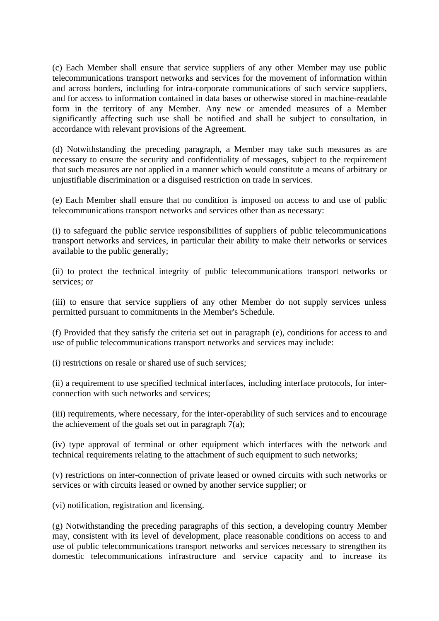(c) Each Member shall ensure that service suppliers of any other Member may use public telecommunications transport networks and services for the movement of information within and across borders, including for intra-corporate communications of such service suppliers, and for access to information contained in data bases or otherwise stored in machine-readable form in the territory of any Member. Any new or amended measures of a Member significantly affecting such use shall be notified and shall be subject to consultation, in accordance with relevant provisions of the Agreement.

(d) Notwithstanding the preceding paragraph, a Member may take such measures as are necessary to ensure the security and confidentiality of messages, subject to the requirement that such measures are not applied in a manner which would constitute a means of arbitrary or unjustifiable discrimination or a disguised restriction on trade in services.

(e) Each Member shall ensure that no condition is imposed on access to and use of public telecommunications transport networks and services other than as necessary:

(i) to safeguard the public service responsibilities of suppliers of public telecommunications transport networks and services, in particular their ability to make their networks or services available to the public generally;

(ii) to protect the technical integrity of public telecommunications transport networks or services; or

(iii) to ensure that service suppliers of any other Member do not supply services unless permitted pursuant to commitments in the Member's Schedule.

(f) Provided that they satisfy the criteria set out in paragraph (e), conditions for access to and use of public telecommunications transport networks and services may include:

(i) restrictions on resale or shared use of such services;

(ii) a requirement to use specified technical interfaces, including interface protocols, for interconnection with such networks and services;

(iii) requirements, where necessary, for the inter-operability of such services and to encourage the achievement of the goals set out in paragraph 7(a);

(iv) type approval of terminal or other equipment which interfaces with the network and technical requirements relating to the attachment of such equipment to such networks;

(v) restrictions on inter-connection of private leased or owned circuits with such networks or services or with circuits leased or owned by another service supplier; or

(vi) notification, registration and licensing.

(g) Notwithstanding the preceding paragraphs of this section, a developing country Member may, consistent with its level of development, place reasonable conditions on access to and use of public telecommunications transport networks and services necessary to strengthen its domestic telecommunications infrastructure and service capacity and to increase its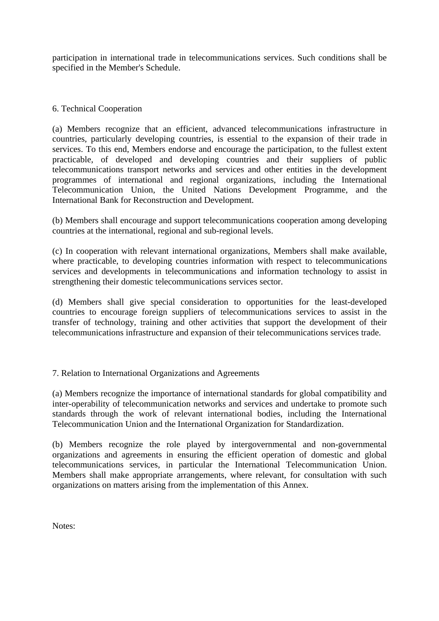participation in international trade in telecommunications services. Such conditions shall be specified in the Member's Schedule.

# 6. Technical Cooperation

(a) Members recognize that an efficient, advanced telecommunications infrastructure in countries, particularly developing countries, is essential to the expansion of their trade in services. To this end, Members endorse and encourage the participation, to the fullest extent practicable, of developed and developing countries and their suppliers of public telecommunications transport networks and services and other entities in the development programmes of international and regional organizations, including the International Telecommunication Union, the United Nations Development Programme, and the International Bank for Reconstruction and Development.

(b) Members shall encourage and support telecommunications cooperation among developing countries at the international, regional and sub-regional levels.

(c) In cooperation with relevant international organizations, Members shall make available, where practicable, to developing countries information with respect to telecommunications services and developments in telecommunications and information technology to assist in strengthening their domestic telecommunications services sector.

(d) Members shall give special consideration to opportunities for the least-developed countries to encourage foreign suppliers of telecommunications services to assist in the transfer of technology, training and other activities that support the development of their telecommunications infrastructure and expansion of their telecommunications services trade.

#### 7. Relation to International Organizations and Agreements

(a) Members recognize the importance of international standards for global compatibility and inter-operability of telecommunication networks and services and undertake to promote such standards through the work of relevant international bodies, including the International Telecommunication Union and the International Organization for Standardization.

(b) Members recognize the role played by intergovernmental and non-governmental organizations and agreements in ensuring the efficient operation of domestic and global telecommunications services, in particular the International Telecommunication Union. Members shall make appropriate arrangements, where relevant, for consultation with such organizations on matters arising from the implementation of this Annex.

Notes: